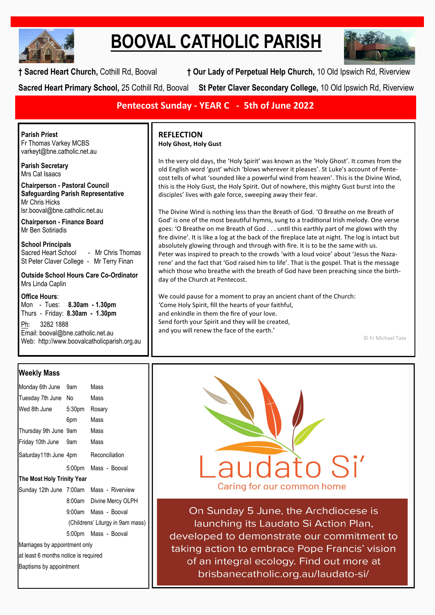

# **BOOVAL CATHOLIC PARISH**



**† Sacred Heart Church,** Cothill Rd, Booval **† Our Lady of Perpetual Help Church,** 10 Old Ipswich Rd, Riverview **Sacred Heart Primary School,** 25 Cothill Rd, Booval **St Peter Claver Secondary College,** 10 Old Ipswich Rd, Riverview

**Pentecost Sunday - YEAR C - 5th of June 2022**

**Parish Priest** Fr Thomas Varkey MCBS varkeyt@bne.catholic.net.au

**Parish Secretary** Mrs Cat Isaacs

**Chairperson - Pastoral Council Safeguarding Parish Representative** Mr Chris Hicks [lsr.booval@bne.catholic.net.au](mailto:lsr.booval@bne.catholi.net.au)

**Chairperson - Finance Board** Mr Ben Sotiriadis

**School Principals**<br>Sacred Heart School - Mr Chris Thomas St Peter Claver College - Mr Terry Finan

**Outside School Hours Care Co-Ordinator** Mrs Linda Caplin

**Office Hours**:

Mon - Tues: **8.30am - 1.30pm** Thurs - Friday: **8.30am - 1.30pm** Ph: 3282 1888 Email: booval@bne.catholic.net.au Web: http://www.boovalcatholicparish.org.au

# **Weekly Mass**

| Monday 6th June                          | 9am    | Mass                     |  |  |
|------------------------------------------|--------|--------------------------|--|--|
| Tuesday 7th June No                      |        | Mass                     |  |  |
| Wed 8th June                             | 5:30pm | Rosary                   |  |  |
|                                          | 6pm    | Mass                     |  |  |
| Thursday 9th June 9am                    |        | Mass                     |  |  |
| Friday 10th June 9am                     |        | Mass                     |  |  |
| Saturday11th June 4pm Reconciliation     |        |                          |  |  |
|                                          |        | 5:00pm Mass - Booval     |  |  |
| The Most Holy Trinity Year               |        |                          |  |  |
| Sunday 12th June 7:00am Mass - Riverview |        |                          |  |  |
|                                          |        | 8:00am Divine Mercy OLPH |  |  |
|                                          | 9:00am | Mass - Booval            |  |  |
| (Childrens' Liturgy in 9am mass)         |        |                          |  |  |
|                                          |        | 5:00pm Mass - Booval     |  |  |
| Marriages by appointment only            |        |                          |  |  |
| at least 6 months notice is required     |        |                          |  |  |
| Baptisms by appointment                  |        |                          |  |  |
|                                          |        |                          |  |  |

## **REFLECTION Holy Ghost, Holy Gust**

In the very old days, the 'Holy Spirit' was known as the 'Holy Ghost'. It comes from the old English word 'gust' which 'blows wherever it pleases'. St Luke's account of Pentecost tells of what 'sounded like a powerful wind from heaven'. This is the Divine Wind, this is the Holy Gust, the Holy Spirit. Out of nowhere, this mighty Gust burst into the disciples' lives with gale force, sweeping away their fear.

The Divine Wind is nothing less than the Breath of God. 'O Breathe on me Breath of God' is one of the most beautiful hymns, sung to a traditional Irish melody. One verse goes: 'O Breathe on me Breath of God . . . until this earthly part of me glows with thy fire divine'. It is like a log at the back of the fireplace late at night. The log is intact but absolutely glowing through and through with fire. It is to be the same with us. Peter was inspired to preach to the crowds 'with a loud voice' about 'Jesus the Nazarene' and the fact that 'God raised him to life'. That is the gospel. That is the message which those who breathe with the breath of God have been preaching since the birthday of the Church at Pentecost.

We could pause for a moment to pray an ancient chant of the Church: 'Come Holy Spirit, fill the hearts of your faithful, and enkindle in them the fire of your love. Send forth your Spirit and they will be created, and you will renew the face of the earth.'

© Fr Michael Tate



On Sunday 5 June, the Archdiocese is launching its Laudato Si Action Plan, developed to demonstrate our commitment to taking action to embrace Pope Francis' vision of an integral ecology. Find out more at brisbanecatholic.org.au/laudato-si/